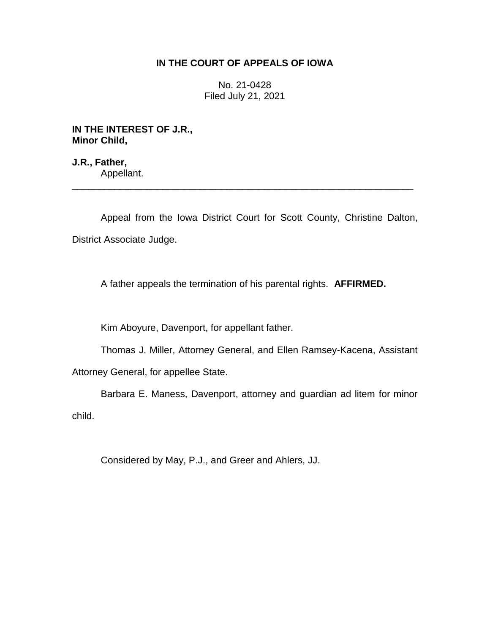## **IN THE COURT OF APPEALS OF IOWA**

No. 21-0428 Filed July 21, 2021

**IN THE INTEREST OF J.R., Minor Child,**

**J.R., Father,** Appellant.

Appeal from the Iowa District Court for Scott County, Christine Dalton, District Associate Judge.

\_\_\_\_\_\_\_\_\_\_\_\_\_\_\_\_\_\_\_\_\_\_\_\_\_\_\_\_\_\_\_\_\_\_\_\_\_\_\_\_\_\_\_\_\_\_\_\_\_\_\_\_\_\_\_\_\_\_\_\_\_\_\_\_

A father appeals the termination of his parental rights. **AFFIRMED.**

Kim Aboyure, Davenport, for appellant father.

Thomas J. Miller, Attorney General, and Ellen Ramsey-Kacena, Assistant

Attorney General, for appellee State.

Barbara E. Maness, Davenport, attorney and guardian ad litem for minor child.

Considered by May, P.J., and Greer and Ahlers, JJ.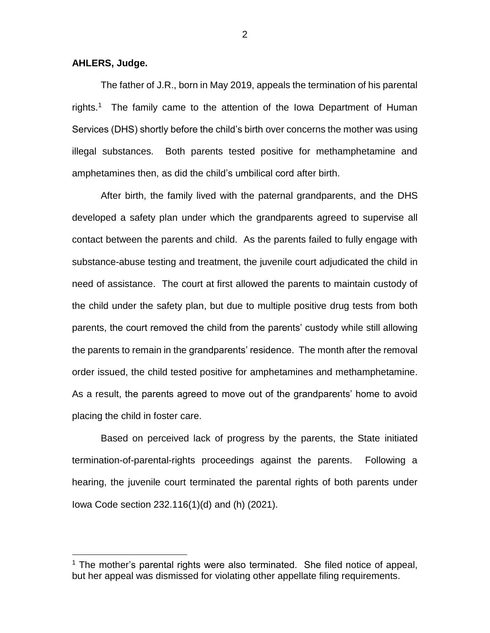**AHLERS, Judge.**

 $\overline{a}$ 

The father of J.R., born in May 2019, appeals the termination of his parental rights.<sup>1</sup> The family came to the attention of the lowa Department of Human Services (DHS) shortly before the child's birth over concerns the mother was using illegal substances. Both parents tested positive for methamphetamine and amphetamines then, as did the child's umbilical cord after birth.

After birth, the family lived with the paternal grandparents, and the DHS developed a safety plan under which the grandparents agreed to supervise all contact between the parents and child. As the parents failed to fully engage with substance-abuse testing and treatment, the juvenile court adjudicated the child in need of assistance. The court at first allowed the parents to maintain custody of the child under the safety plan, but due to multiple positive drug tests from both parents, the court removed the child from the parents' custody while still allowing the parents to remain in the grandparents' residence. The month after the removal order issued, the child tested positive for amphetamines and methamphetamine. As a result, the parents agreed to move out of the grandparents' home to avoid placing the child in foster care.

Based on perceived lack of progress by the parents, the State initiated termination-of-parental-rights proceedings against the parents. Following a hearing, the juvenile court terminated the parental rights of both parents under Iowa Code section 232.116(1)(d) and (h) (2021).

2

 $1$  The mother's parental rights were also terminated. She filed notice of appeal, but her appeal was dismissed for violating other appellate filing requirements.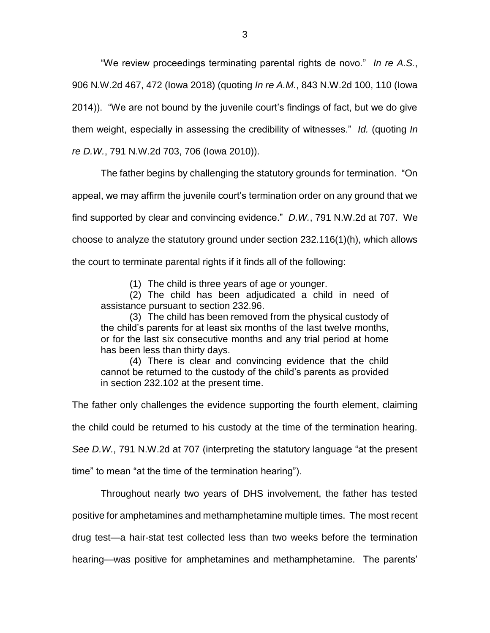"We review proceedings terminating parental rights de novo." *In re A.S.*, 906 N.W.2d 467, 472 (Iowa 2018) (quoting *In re A.M.*, 843 N.W.2d 100, 110 (Iowa 2014)). "We are not bound by the juvenile court's findings of fact, but we do give them weight, especially in assessing the credibility of witnesses." *Id.* (quoting *In re D.W.*, 791 N.W.2d 703, 706 (Iowa 2010)).

The father begins by challenging the statutory grounds for termination. "On appeal, we may affirm the juvenile court's termination order on any ground that we find supported by clear and convincing evidence." *D.W.*, 791 N.W.2d at 707. We choose to analyze the statutory ground under section 232.116(1)(h), which allows the court to terminate parental rights if it finds all of the following:

(1) The child is three years of age or younger.

(2) The child has been adjudicated a child in need of assistance pursuant to section 232.96.

(3) The child has been removed from the physical custody of the child's parents for at least six months of the last twelve months, or for the last six consecutive months and any trial period at home has been less than thirty days.

(4) There is clear and convincing evidence that the child cannot be returned to the custody of the child's parents as provided in section 232.102 at the present time.

The father only challenges the evidence supporting the fourth element, claiming

the child could be returned to his custody at the time of the termination hearing.

*See D.W.*, 791 N.W.2d at 707 (interpreting the statutory language "at the present

time" to mean "at the time of the termination hearing").

Throughout nearly two years of DHS involvement, the father has tested

positive for amphetamines and methamphetamine multiple times. The most recent

drug test—a hair-stat test collected less than two weeks before the termination

hearing—was positive for amphetamines and methamphetamine. The parents'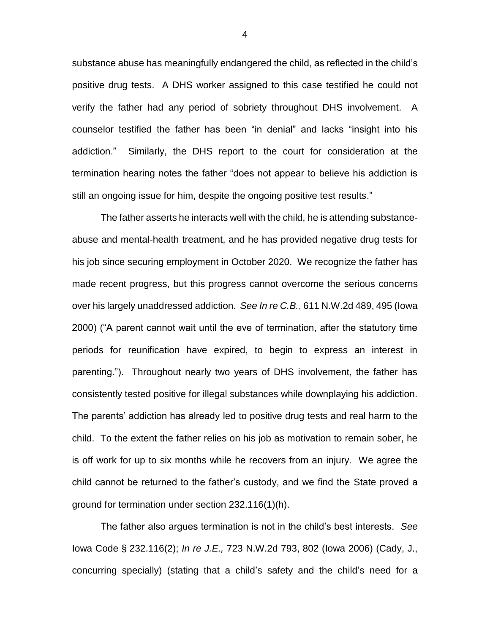substance abuse has meaningfully endangered the child, as reflected in the child's positive drug tests. A DHS worker assigned to this case testified he could not verify the father had any period of sobriety throughout DHS involvement. A counselor testified the father has been "in denial" and lacks "insight into his addiction." Similarly, the DHS report to the court for consideration at the termination hearing notes the father "does not appear to believe his addiction is still an ongoing issue for him, despite the ongoing positive test results."

The father asserts he interacts well with the child, he is attending substanceabuse and mental-health treatment, and he has provided negative drug tests for his job since securing employment in October 2020. We recognize the father has made recent progress, but this progress cannot overcome the serious concerns over his largely unaddressed addiction. *See In re C.B.*, 611 N.W.2d 489, 495 (Iowa 2000) ("A parent cannot wait until the eve of termination, after the statutory time periods for reunification have expired, to begin to express an interest in parenting."). Throughout nearly two years of DHS involvement, the father has consistently tested positive for illegal substances while downplaying his addiction. The parents' addiction has already led to positive drug tests and real harm to the child. To the extent the father relies on his job as motivation to remain sober, he is off work for up to six months while he recovers from an injury. We agree the child cannot be returned to the father's custody, and we find the State proved a ground for termination under section 232.116(1)(h).

The father also argues termination is not in the child's best interests. *See*  Iowa Code § 232.116(2); *In re J.E.,* 723 N.W.2d 793, 802 (Iowa 2006) (Cady, J., concurring specially) (stating that a child's safety and the child's need for a

4